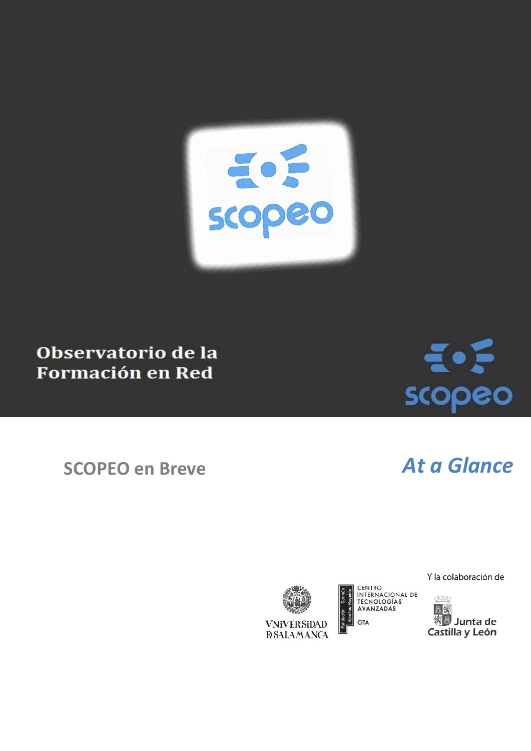

### Observatorio de la **Formación en Red**

# $\epsilon$ scopeo

## **SCOPEO en Breve** *At a Glance*

**VNiVERSiDAD D SALAMANCA**  CENTRO<br>INTERNACIONAL DE<br>TECNOLOGÍAS AVANZADAS **CITA** 

Y la colaboración de

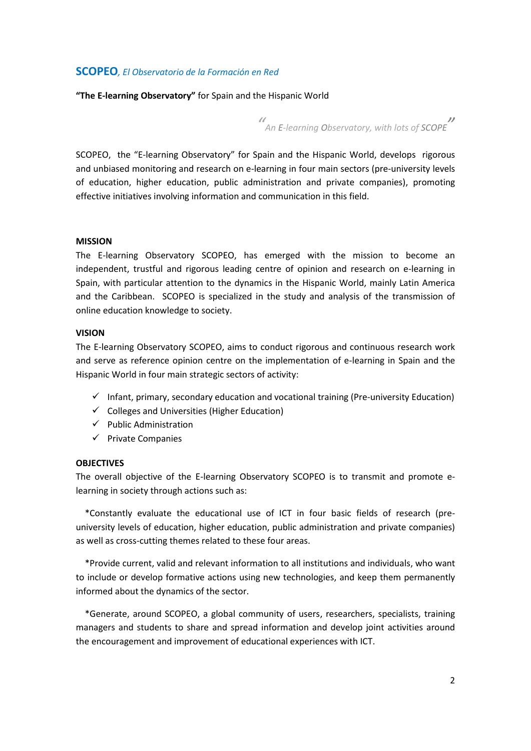#### **SCOPEO***, El Observatorio de la Formación en Red*

**"The E-learning Observatory"** for Spain and the Hispanic World

*" An E-learning Observatory, with lots of SCOPE "*

SCOPEO, the "E-learning Observatory" for Spain and the Hispanic World, develops rigorous and unbiased monitoring and research on e-learning in four main sectors (pre-university levels of education, higher education, public administration and private companies), promoting effective initiatives involving information and communication in this field.

#### **MISSION**

The E-learning Observatory SCOPEO, has emerged with the mission to become an independent, trustful and rigorous leading centre of opinion and research on e-learning in Spain, with particular attention to the dynamics in the Hispanic World, mainly Latin America and the Caribbean. SCOPEO is specialized in the study and analysis of the transmission of online education knowledge to society.

#### **VISION**

The E-learning Observatory SCOPEO, aims to conduct rigorous and continuous research work and serve as reference opinion centre on the implementation of e-learning in Spain and the Hispanic World in four main strategic sectors of activity:

- $\checkmark$  Infant, primary, secondary education and vocational training (Pre-university Education)
- $\checkmark$  Colleges and Universities (Higher Education)
- $\checkmark$  Public Administration
- $\checkmark$  Private Companies

#### **OBJECTIVES**

The overall objective of the E-learning Observatory SCOPEO is to transmit and promote elearning in society through actions such as:

 \*Constantly evaluate the educational use of ICT in four basic fields of research (preuniversity levels of education, higher education, public administration and private companies) as well as cross-cutting themes related to these four areas.

 \*Provide current, valid and relevant information to all institutions and individuals, who want to include or develop formative actions using new technologies, and keep them permanently informed about the dynamics of the sector.

 \*Generate, around SCOPEO, a global community of users, researchers, specialists, training managers and students to share and spread information and develop joint activities around the encouragement and improvement of educational experiences with ICT.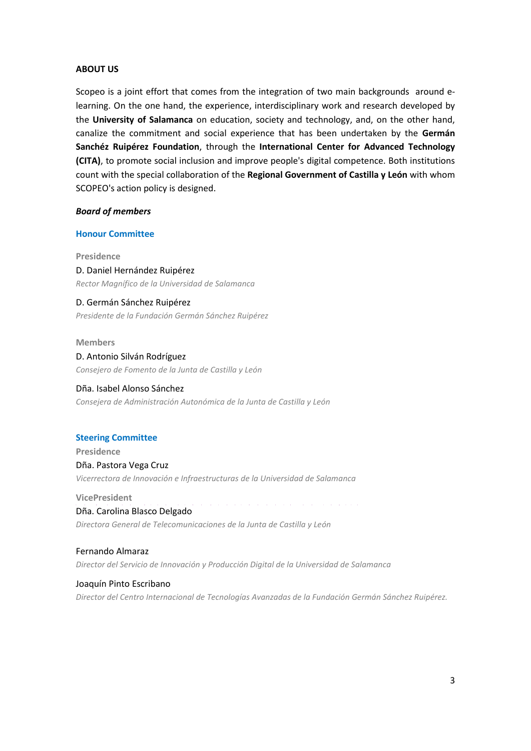#### **ABOUT US**

Scopeo is a joint effort that comes from the integration of two main backgrounds around elearning. On the one hand, the experience, interdisciplinary work and research developed by the **University of Salamanca** on education, society and technology, and, on the other hand, canalize the commitment and social experience that has been undertaken by the **Germán Sanchéz Ruipérez Foundation**, through the **International Center for Advanced Technology (CITA)**, to promote social inclusion and improve people's digital competence. Both institutions count with the special collaboration of the **Regional Government of Castilla y León** with whom SCOPEO's action policy is designed.

#### *Board of members*

#### **Honour Committee**

**Presidence**

D. Daniel Hernández Ruipérez *Rector Magnífico de la Universidad de Salamanca*

D. Germán Sánchez Ruipérez *Presidente de la Fundación Germán Sánchez Ruipérez*

#### **Members**

D. Antonio Silván Rodríguez *Consejero de Fomento de la Junta de Castilla y León*

#### Dña. Isabel Alonso Sánchez

*Consejera de Administración Autonómica de la Junta de Castilla y León*

#### **Steering Committee**

**Presidence** Dña. Pastora Vega Cruz *Vicerrectora de Innovación e Infraestructuras de la Universidad de Salamanca*

**VicePresident c o m o s e d i c e v i d e p r e s i d e n c i a e n i n g l i s** Dña. Carolina Blasco Delgado *Directora General de Telecomunicaciones de la Junta de Castilla y León*

Fernando Almaraz *Director del Servicio de Innovación y Producción Digital de la Universidad de Salamanca*

Joaquín Pinto Escribano

*Director del Centro Internacional de Tecnologías Avanzadas de la Fundación Germán Sánchez Ruipérez.*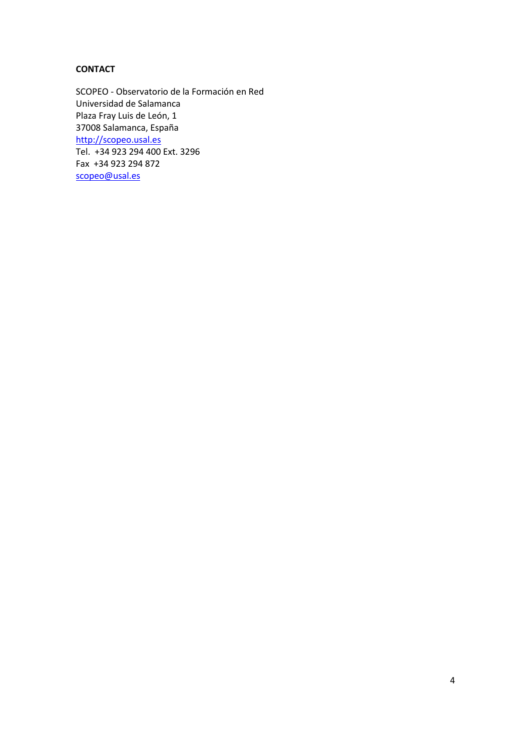### **CONTACT**

SCOPEO - Observatorio de la Formación en Red Universidad de Salamanca Plaza Fray Luis de León, 1 37008 Salamanca, España [http://scopeo.usal.es](http://scopeo.usal.es/) Tel. +34 923 294 400 Ext. 3296 Fax +34 923 294 872 [scopeo@usal.es](mailto:scopeo@usal.es)